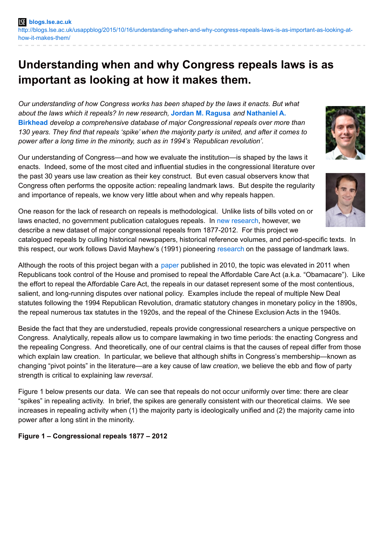# **Understanding when and why Congress repeals laws is as important as looking at how it makes them.**

*Our understanding of how Congress works has been shaped by the laws it enacts. But what about the laws which it repeals? In new research,* **Jordan M. [Ragusa](http://wp.me/p3I2YF-4ix#Author)** *and* **Nathaniel A. Birkhead** *develop a [comprehensive](http://wp.me/p3I2YF-4ix#Author) database of major Congressional repeals over more than 130 years. They find that repeals 'spike' when the majority party is united, and after it comes to power after a long time in the minority, such as in 1994's 'Republican revolution'.*

Our understanding of Congress—and how we evaluate the institution—is shaped by the laws it enacts. Indeed, some of the most cited and influential studies in the congressional literature over the past 30 years use law creation as their key construct. But even casual observers know that Congress often performs the opposite action: repealing landmark laws. But despite the regularity and importance of repeals, we know very little about when and why repeals happen.

One reason for the lack of research on repeals is methodological. Unlike lists of bills voted on or laws enacted, no government publication catalogues repeals. In new [research](http://prq.sagepub.com/content/early/2015/09/04/1065912915604052.abstract), however, we describe a new dataset of major congressional repeals from 1877-2012. For this project we

catalogued repeals by culling historical newspapers, historical reference volumes, and period-specific texts. In this respect, our work follows David Mayhew's (1991) pioneering [research](http://yalepress.yale.edu/book.asp?isbn=9780300102888) on the passage of landmark laws.

Although the roots of this project began with a [paper](http://apr.sagepub.com/content/38/6/1015.short) published in 2010, the topic was elevated in 2011 when Republicans took control of the House and promised to repeal the Affordable Care Act (a.k.a. "Obamacare"). Like the effort to repeal the Affordable Care Act, the repeals in our dataset represent some of the most contentious, salient, and long-running disputes over national policy. Examples include the repeal of multiple New Deal statutes following the 1994 Republican Revolution, dramatic statutory changes in monetary policy in the 1890s, the repeal numerous tax statutes in the 1920s, and the repeal of the Chinese Exclusion Acts in the 1940s.

Beside the fact that they are understudied, repeals provide congressional researchers a unique perspective on Congress. Analytically, repeals allow us to compare lawmaking in two time periods: the enacting Congress and the repealing Congress. And theoretically, one of our central claims is that the causes of repeal differ from those which explain law creation. In particular, we believe that although shifts in Congress's membership—known as changing "pivot points" in the literature—are a key cause of law *creation*, we believe the ebb and flow of party strength is critical to explaining law *reversal*.

Figure 1 below presents our data. We can see that repeals do not occur uniformly over time: there are clear "spikes" in repealing activity. In brief, the spikes are generally consistent with our theoretical claims. We see increases in repealing activity when (1) the majority party is ideologically unified and (2) the majority came into power after a long stint in the minority.

# **Figure 1 – Congressional repeals 1877 – 2012**



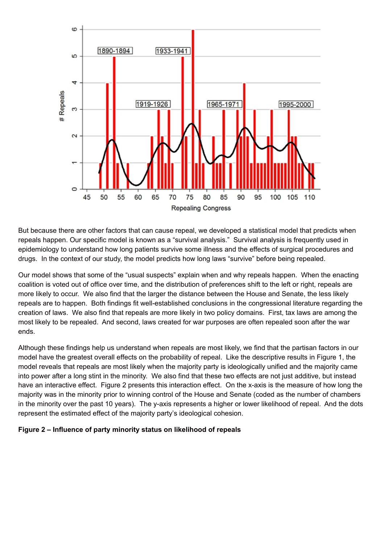

But because there are other factors that can cause repeal, we developed a statistical model that predicts when repeals happen. Our specific model is known as a "survival analysis." Survival analysis is frequently used in epidemiology to understand how long patients survive some illness and the effects of surgical procedures and drugs. In the context of our study, the model predicts how long laws "survive" before being repealed.

Our model shows that some of the "usual suspects" explain when and why repeals happen. When the enacting coalition is voted out of office over time, and the distribution of preferences shift to the left or right, repeals are more likely to occur. We also find that the larger the distance between the House and Senate, the less likely repeals are to happen. Both findings fit well-established conclusions in the congressional literature regarding the creation of laws. We also find that repeals are more likely in two policy domains. First, tax laws are among the most likely to be repealed. And second, laws created for war purposes are often repealed soon after the war ends.

Although these findings help us understand when repeals are most likely, we find that the partisan factors in our model have the greatest overall effects on the probability of repeal. Like the descriptive results in Figure 1, the model reveals that repeals are most likely when the majority party is ideologically unified and the majority came into power after a long stint in the minority. We also find that these two effects are not just additive, but instead have an interactive effect. Figure 2 presents this interaction effect. On the x-axis is the measure of how long the majority was in the minority prior to winning control of the House and Senate (coded as the number of chambers in the minority over the past 10 years). The y-axis represents a higher or lower likelihood of repeal. And the dots represent the estimated effect of the majority party's ideological cohesion.

#### **Figure 2 – Influence of party minority status on likelihood of repeals**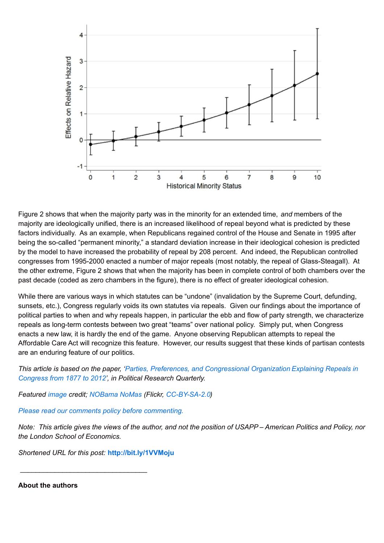

Figure 2 shows that when the majority party was in the minority for an extended time, *and* members of the majority are ideologically unified, there is an increased likelihood of repeal beyond what is predicted by these factors individually. As an example, when Republicans regained control of the House and Senate in 1995 after being the so-called "permanent minority," a standard deviation increase in their ideological cohesion is predicted by the model to have increased the probability of repeal by 208 percent. And indeed, the Republican controlled congresses from 1995-2000 enacted a number of major repeals (most notably, the repeal of Glass-Steagall). At the other extreme, Figure 2 shows that when the majority has been in complete control of both chambers over the past decade (coded as zero chambers in the figure), there is no effect of greater ideological cohesion.

While there are various ways in which statutes can be "undone" (invalidation by the Supreme Court, defunding, sunsets, etc.), Congress regularly voids its own statutes via repeals. Given our findings about the importance of political parties to when and why repeals happen, in particular the ebb and flow of party strength, we characterize repeals as long-term contests between two great "teams" over national policy. Simply put, when Congress enacts a new law, it is hardly the end of the game. Anyone observing Republican attempts to repeal the Affordable Care Act will recognize this feature. However, our results suggest that these kinds of partisan contests are an enduring feature of our politics.

*This article is based on the paper, 'Parties, Preferences, and [Congressional](http://prq.sagepub.com/content/early/2015/09/04/1065912915604052.abstract) Organization Explaining Repeals in Congress from 1877 to 2012', in Political Research Quarterly.*

*Featured [image](https://www.flickr.com/photos/nobamanomas/4527428186/) credit; [NOBama](https://www.flickr.com/photos/nobamanomas/) NoMas (Flickr, [CC-BY-SA-2.0](https://creativecommons.org/licenses/by-sa/2.0/))*

*Please read our comments policy before [commenting.](http://blogs.lse.ac.uk/usappblog/comments-policy/)*

Note: This article gives the views of the author, and not the position of USAPP-American Politics and Policy, nor *the London School of Economics.*

*Shortened URL for this post:* **<http://bit.ly/1VVMoju>**

\_\_\_\_\_\_\_\_\_\_\_\_\_\_\_\_\_\_\_\_\_\_\_\_\_\_\_\_\_\_\_\_\_

**About the authors**